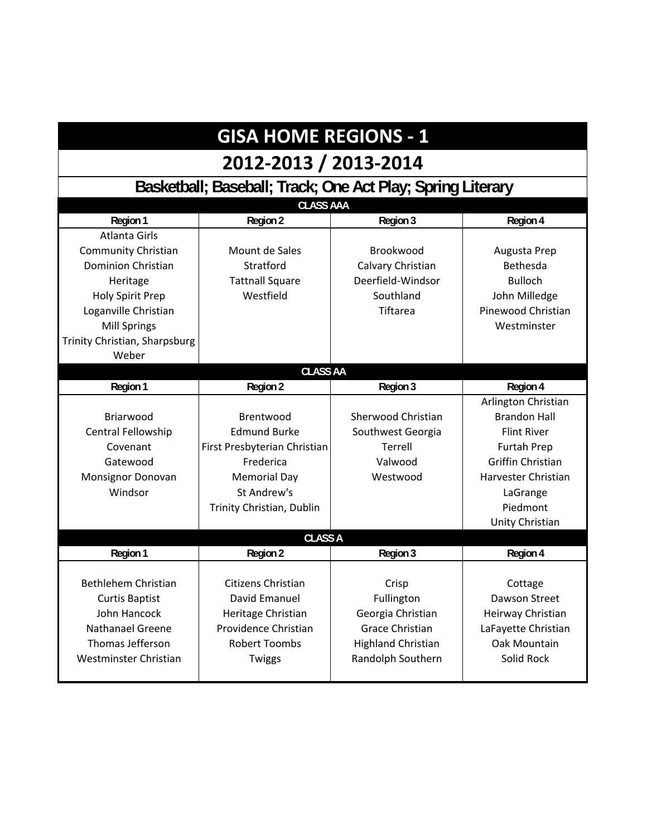### **GISA HOME REGIONS ‐ 1**

### **2012‐2013 / 2013‐2014**

**Basketball; Baseball; Track; One Act Play; Spring Literary**

| <b>CLASS AAA</b>              |                              |                           |                          |  |
|-------------------------------|------------------------------|---------------------------|--------------------------|--|
| Region 1                      | Region 2                     | Region 3                  | Region 4                 |  |
| <b>Atlanta Girls</b>          |                              |                           |                          |  |
| <b>Community Christian</b>    | Mount de Sales               | Brookwood                 | Augusta Prep             |  |
| <b>Dominion Christian</b>     | Stratford                    | Calvary Christian         | Bethesda                 |  |
| Heritage                      | <b>Tattnall Square</b>       | Deerfield-Windsor         | <b>Bulloch</b>           |  |
| <b>Holy Spirit Prep</b>       | Westfield                    | Southland                 | John Milledge            |  |
| Loganville Christian          |                              | <b>Tiftarea</b>           | Pinewood Christian       |  |
| <b>Mill Springs</b>           |                              |                           | Westminster              |  |
| Trinity Christian, Sharpsburg |                              |                           |                          |  |
| Weber                         |                              |                           |                          |  |
| <b>CLASS AA</b>               |                              |                           |                          |  |
| Region 1                      | Region 2                     | Region 3                  | Region 4                 |  |
|                               |                              |                           | Arlington Christian      |  |
| Briarwood                     | Brentwood                    | <b>Sherwood Christian</b> | <b>Brandon Hall</b>      |  |
| Central Fellowship            | <b>Edmund Burke</b>          | Southwest Georgia         | <b>Flint River</b>       |  |
| Covenant                      | First Presbyterian Christian | Terrell                   | <b>Furtah Prep</b>       |  |
| Gatewood                      | Frederica                    | Valwood                   | <b>Griffin Christian</b> |  |
| Monsignor Donovan             | <b>Memorial Day</b>          | Westwood                  | Harvester Christian      |  |
| Windsor                       | St Andrew's                  |                           | LaGrange                 |  |
|                               | Trinity Christian, Dublin    |                           | Piedmont                 |  |
|                               |                              |                           | Unity Christian          |  |
| <b>CLASS A</b>                |                              |                           |                          |  |
| Region 1                      | <b>Region 2</b>              | Region 3                  | Region 4                 |  |
|                               |                              |                           |                          |  |
| <b>Bethlehem Christian</b>    | Citizens Christian           | Crisp                     | Cottage                  |  |
| <b>Curtis Baptist</b>         | David Emanuel                | Fullington                | Dawson Street            |  |
| John Hancock                  | Heritage Christian           | Georgia Christian         | Heirway Christian        |  |
| Nathanael Greene              | Providence Christian         | <b>Grace Christian</b>    | LaFayette Christian      |  |
| Thomas Jefferson              | <b>Robert Toombs</b>         | <b>Highland Christian</b> | Oak Mountain             |  |
| Westminster Christian         | Twiggs                       | Randolph Southern         | Solid Rock               |  |
|                               |                              |                           |                          |  |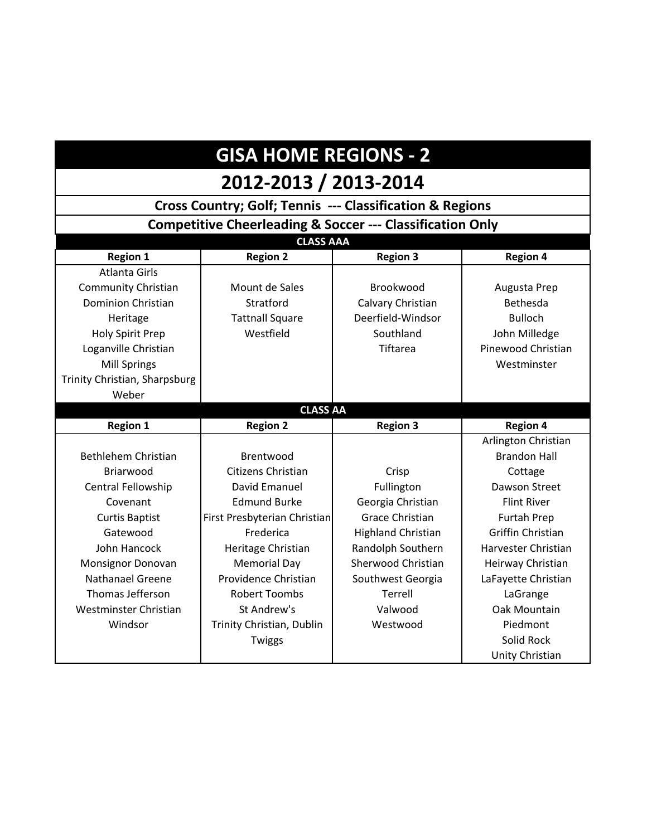# **GISA HOME REGIONS - 2**

## **2012-2013 / 2013-2014**

| <b>Cross Country; Golf; Tennis --- Classification &amp; Regions</b>  |                              |                           |                          |
|----------------------------------------------------------------------|------------------------------|---------------------------|--------------------------|
| <b>Competitive Cheerleading &amp; Soccer --- Classification Only</b> |                              |                           |                          |
| <b>CLASS AAA</b>                                                     |                              |                           |                          |
| <b>Region 1</b>                                                      | <b>Region 2</b>              | <b>Region 3</b>           | <b>Region 4</b>          |
| <b>Atlanta Girls</b>                                                 |                              |                           |                          |
| <b>Community Christian</b>                                           | Mount de Sales               | Brookwood                 | Augusta Prep             |
| <b>Dominion Christian</b>                                            | Stratford                    | Calvary Christian         | Bethesda                 |
| Heritage                                                             | <b>Tattnall Square</b>       | Deerfield-Windsor         | <b>Bulloch</b>           |
| Holy Spirit Prep                                                     | Westfield                    | Southland                 | John Milledge            |
| Loganville Christian                                                 |                              | <b>Tiftarea</b>           | Pinewood Christian       |
| <b>Mill Springs</b>                                                  |                              |                           | Westminster              |
| Trinity Christian, Sharpsburg                                        |                              |                           |                          |
| Weber                                                                |                              |                           |                          |
|                                                                      | <b>CLASS AA</b>              |                           |                          |
| <b>Region 1</b>                                                      | <b>Region 2</b>              | <b>Region 3</b>           | <b>Region 4</b>          |
|                                                                      |                              |                           | Arlington Christian      |
| Bethlehem Christian                                                  | Brentwood                    |                           | <b>Brandon Hall</b>      |
| Briarwood                                                            | Citizens Christian           | Crisp                     | Cottage                  |
| Central Fellowship                                                   | David Emanuel                | Fullington                | <b>Dawson Street</b>     |
| Covenant                                                             | <b>Edmund Burke</b>          | Georgia Christian         | <b>Flint River</b>       |
| <b>Curtis Baptist</b>                                                | First Presbyterian Christian | <b>Grace Christian</b>    | <b>Furtah Prep</b>       |
| Gatewood                                                             | Frederica                    | <b>Highland Christian</b> | <b>Griffin Christian</b> |
| John Hancock                                                         | Heritage Christian           | Randolph Southern         | Harvester Christian      |
| Monsignor Donovan                                                    | <b>Memorial Day</b>          | Sherwood Christian        | Heirway Christian        |
| Nathanael Greene                                                     | Providence Christian         | Southwest Georgia         | LaFayette Christian      |
| Thomas Jefferson                                                     | <b>Robert Toombs</b>         | Terrell                   | LaGrange                 |
| Westminster Christian                                                | St Andrew's                  | Valwood                   | Oak Mountain             |
| Windsor                                                              | Trinity Christian, Dublin    | Westwood                  | Piedmont                 |
|                                                                      | Twiggs                       |                           | Solid Rock               |
|                                                                      |                              |                           | Unity Christian          |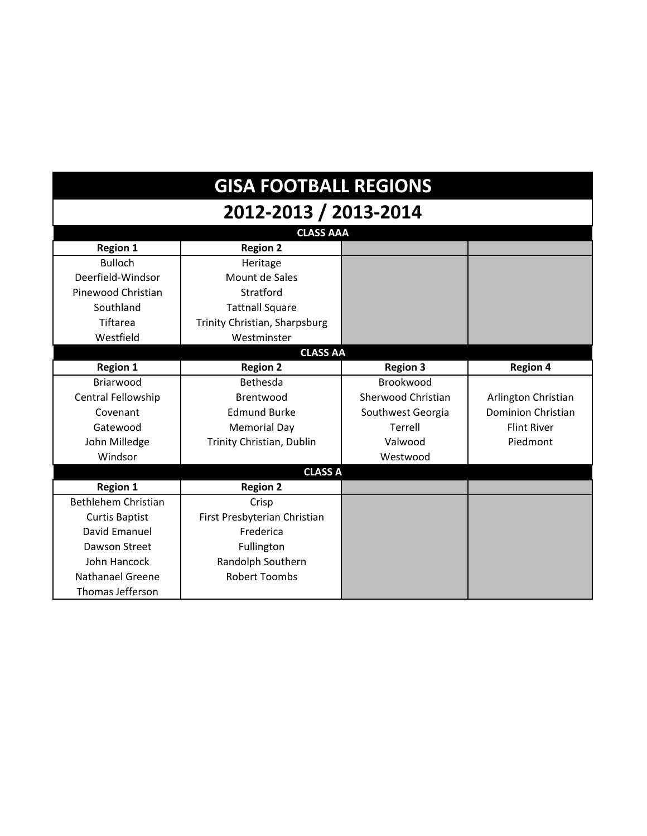| <b>GISA FOOTBALL REGIONS</b> |                               |                    |                           |  |
|------------------------------|-------------------------------|--------------------|---------------------------|--|
| 2012-2013 / 2013-2014        |                               |                    |                           |  |
|                              | <b>CLASS AAA</b>              |                    |                           |  |
| <b>Region 1</b>              | <b>Region 2</b>               |                    |                           |  |
| <b>Bulloch</b>               | Heritage                      |                    |                           |  |
| Deerfield-Windsor            | Mount de Sales                |                    |                           |  |
| Pinewood Christian           | Stratford                     |                    |                           |  |
| Southland                    | <b>Tattnall Square</b>        |                    |                           |  |
| Tiftarea                     | Trinity Christian, Sharpsburg |                    |                           |  |
| Westfield                    | Westminster                   |                    |                           |  |
| <b>CLASS AA</b>              |                               |                    |                           |  |
| <b>Region 1</b>              | <b>Region 2</b>               | <b>Region 3</b>    | <b>Region 4</b>           |  |
| Briarwood                    | Bethesda                      | Brookwood          |                           |  |
| Central Fellowship           | Brentwood                     | Sherwood Christian | Arlington Christian       |  |
| Covenant                     | <b>Edmund Burke</b>           | Southwest Georgia  | <b>Dominion Christian</b> |  |
| Gatewood                     | <b>Memorial Day</b>           | Terrell            | <b>Flint River</b>        |  |
| John Milledge                | Trinity Christian, Dublin     | Valwood            | Piedmont                  |  |
| Windsor                      |                               | Westwood           |                           |  |
|                              | <b>CLASS A</b>                |                    |                           |  |
| <b>Region 1</b>              | <b>Region 2</b>               |                    |                           |  |
| Bethlehem Christian          | Crisp                         |                    |                           |  |
| <b>Curtis Baptist</b>        | First Presbyterian Christian  |                    |                           |  |
| David Emanuel                | Frederica                     |                    |                           |  |
| Dawson Street                | Fullington                    |                    |                           |  |
| John Hancock                 | Randolph Southern             |                    |                           |  |
| <b>Nathanael Greene</b>      | <b>Robert Toombs</b>          |                    |                           |  |
| Thomas Jefferson             |                               |                    |                           |  |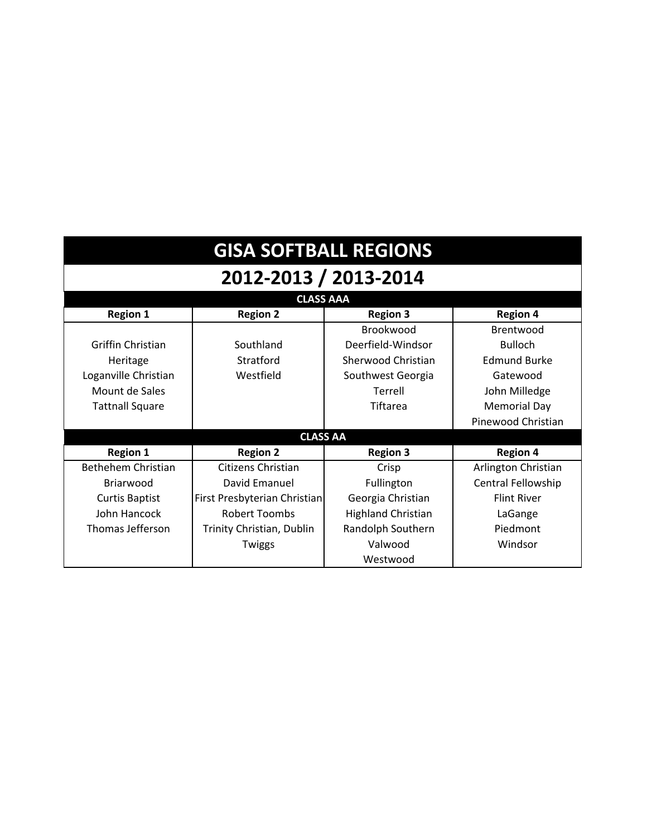| <b>GISA SOFTBALL REGIONS</b> |                              |                           |                     |  |  |
|------------------------------|------------------------------|---------------------------|---------------------|--|--|
| 2012-2013 / 2013-2014        |                              |                           |                     |  |  |
|                              | <b>CLASS AAA</b>             |                           |                     |  |  |
| <b>Region 1</b>              | <b>Region 2</b>              | <b>Region 3</b>           | <b>Region 4</b>     |  |  |
|                              |                              | Brookwood                 | Brentwood           |  |  |
| Griffin Christian            | Southland                    | Deerfield-Windsor         | <b>Bulloch</b>      |  |  |
| Heritage                     | Stratford                    | Sherwood Christian        | <b>Edmund Burke</b> |  |  |
| Loganville Christian         | Westfield                    | Southwest Georgia         | Gatewood            |  |  |
| Mount de Sales               |                              | Terrell                   | John Milledge       |  |  |
| <b>Tattnall Square</b>       |                              | Tiftarea                  | <b>Memorial Day</b> |  |  |
|                              |                              |                           | Pinewood Christian  |  |  |
|                              | <b>CLASS AA</b>              |                           |                     |  |  |
| <b>Region 1</b>              | <b>Region 2</b>              | <b>Region 3</b>           | <b>Region 4</b>     |  |  |
| Bethehem Christian           | Citizens Christian           | Crisp                     | Arlington Christian |  |  |
| Briarwood                    | David Emanuel                | Fullington                | Central Fellowship  |  |  |
| <b>Curtis Baptist</b>        | First Presbyterian Christian | Georgia Christian         | <b>Flint River</b>  |  |  |
| John Hancock                 | <b>Robert Toombs</b>         | <b>Highland Christian</b> | LaGange             |  |  |
| Thomas Jefferson             | Trinity Christian, Dublin    | Randolph Southern         | Piedmont            |  |  |
|                              | Twiggs                       | Valwood                   | Windsor             |  |  |
|                              |                              | Westwood                  |                     |  |  |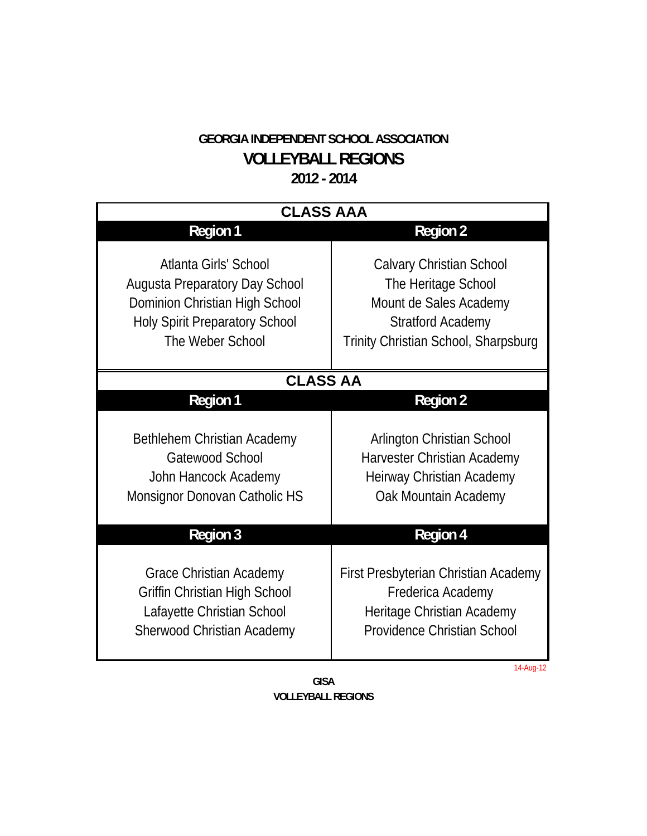#### **GEORGIA INDEPENDENT SCHOOL ASSOCIATION VOLLEYBALL REGIONS 2012 - 2014**

| <b>CLASS AAA</b>                                                                                                                                       |                                                                                                                                                      |  |  |
|--------------------------------------------------------------------------------------------------------------------------------------------------------|------------------------------------------------------------------------------------------------------------------------------------------------------|--|--|
| <b>Region 1</b>                                                                                                                                        | <b>Region 2</b>                                                                                                                                      |  |  |
| Atlanta Girls' School<br>Augusta Preparatory Day School<br>Dominion Christian High School<br><b>Holy Spirit Preparatory School</b><br>The Weber School | <b>Calvary Christian School</b><br>The Heritage School<br>Mount de Sales Academy<br><b>Stratford Academy</b><br>Trinity Christian School, Sharpsburg |  |  |
| <b>CLASS AA</b>                                                                                                                                        |                                                                                                                                                      |  |  |
| <b>Region 1</b>                                                                                                                                        | <b>Region 2</b>                                                                                                                                      |  |  |
| Bethlehem Christian Academy<br>Gatewood School<br>John Hancock Academy<br>Monsignor Donovan Catholic HS                                                | Arlington Christian School<br>Harvester Christian Academy<br>Heirway Christian Academy<br>Oak Mountain Academy                                       |  |  |
| <b>Region 3</b>                                                                                                                                        | <b>Region 4</b>                                                                                                                                      |  |  |
| Grace Christian Academy<br>Griffin Christian High School<br>Lafayette Christian School<br>Sherwood Christian Academy                                   | First Presbyterian Christian Academy<br>Frederica Academy<br>Heritage Christian Academy<br>Providence Christian School                               |  |  |

14-Aug-12